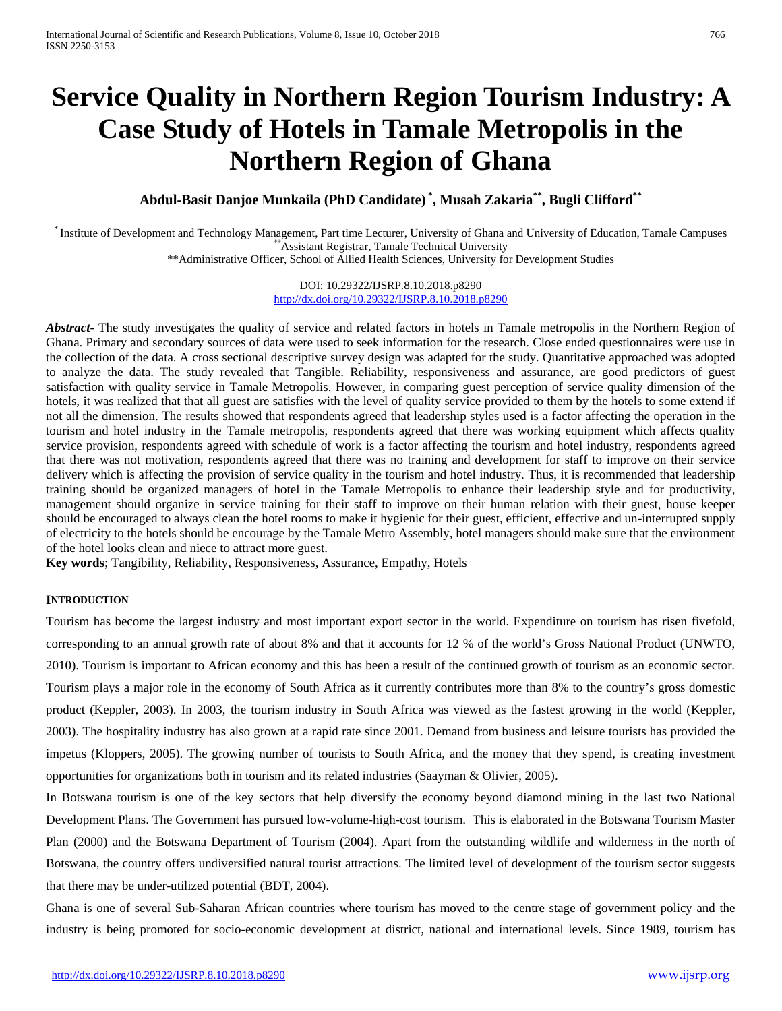# **Service Quality in Northern Region Tourism Industry: A Case Study of Hotels in Tamale Metropolis in the Northern Region of Ghana**

**Abdul-Basit Danjoe Munkaila (PhD Candidate) \* , Musah Zakaria\*\*, Bugli Clifford\*\***

\* Institute of Development and Technology Management, Part time Lecturer, University of Ghana and University of Education, Tamale Campuses \*\*Assistant Registrar, Tamale Technical University \*\*Administrative Officer, School of Allied Health Sciences, University for Development Studies

> DOI: 10.29322/IJSRP.8.10.2018.p8290 <http://dx.doi.org/10.29322/IJSRP.8.10.2018.p8290>

*Abstract***-** The study investigates the quality of service and related factors in hotels in Tamale metropolis in the Northern Region of Ghana. Primary and secondary sources of data were used to seek information for the research. Close ended questionnaires were use in the collection of the data. A cross sectional descriptive survey design was adapted for the study. Quantitative approached was adopted to analyze the data. The study revealed that Tangible. Reliability, responsiveness and assurance, are good predictors of guest satisfaction with quality service in Tamale Metropolis. However, in comparing guest perception of service quality dimension of the hotels, it was realized that that all guest are satisfies with the level of quality service provided to them by the hotels to some extend if not all the dimension. The results showed that respondents agreed that leadership styles used is a factor affecting the operation in the tourism and hotel industry in the Tamale metropolis, respondents agreed that there was working equipment which affects quality service provision, respondents agreed with schedule of work is a factor affecting the tourism and hotel industry, respondents agreed that there was not motivation, respondents agreed that there was no training and development for staff to improve on their service delivery which is affecting the provision of service quality in the tourism and hotel industry. Thus, it is recommended that leadership training should be organized managers of hotel in the Tamale Metropolis to enhance their leadership style and for productivity, management should organize in service training for their staff to improve on their human relation with their guest, house keeper should be encouraged to always clean the hotel rooms to make it hygienic for their guest, efficient, effective and un-interrupted supply of electricity to the hotels should be encourage by the Tamale Metro Assembly, hotel managers should make sure that the environment of the hotel looks clean and niece to attract more guest.

**Key words**; Tangibility, Reliability, Responsiveness, Assurance, Empathy, Hotels

## **INTRODUCTION**

Tourism has become the largest industry and most important export sector in the world. Expenditure on tourism has risen fivefold, corresponding to an annual growth rate of about 8% and that it accounts for 12 % of the world's Gross National Product (UNWTO, 2010). Tourism is important to African economy and this has been a result of the continued growth of tourism as an economic sector. Tourism plays a major role in the economy of South Africa as it currently contributes more than 8% to the country's gross domestic product (Keppler, 2003). In 2003, the tourism industry in South Africa was viewed as the fastest growing in the world (Keppler, 2003). The hospitality industry has also grown at a rapid rate since 2001. Demand from business and leisure tourists has provided the impetus (Kloppers, 2005). The growing number of tourists to South Africa, and the money that they spend, is creating investment opportunities for organizations both in tourism and its related industries (Saayman & Olivier, 2005).

In Botswana tourism is one of the key sectors that help diversify the economy beyond diamond mining in the last two National Development Plans. The Government has pursued low-volume-high-cost tourism. This is elaborated in the Botswana Tourism Master Plan (2000) and the Botswana Department of Tourism (2004). Apart from the outstanding wildlife and wilderness in the north of Botswana, the country offers undiversified natural tourist attractions. The limited level of development of the tourism sector suggests that there may be under-utilized potential (BDT, 2004).

Ghana is one of several Sub-Saharan African countries where tourism has moved to the centre stage of government policy and the industry is being promoted for socio-economic development at district, national and international levels. Since 1989, tourism has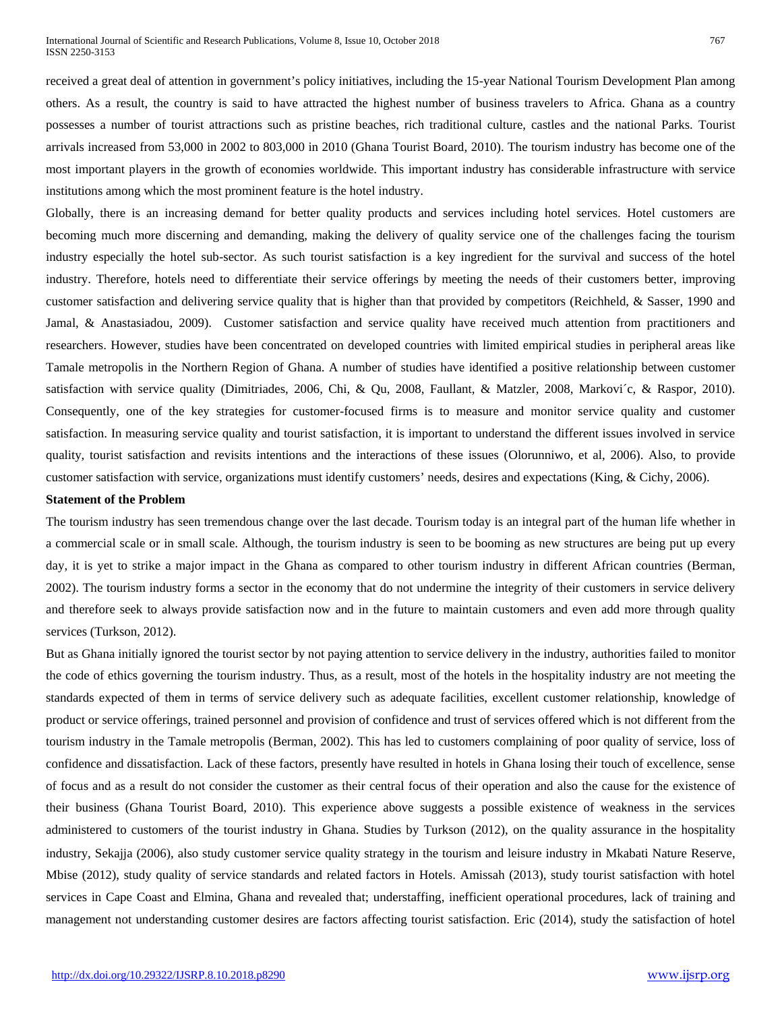received a great deal of attention in government's policy initiatives, including the 15-year National Tourism Development Plan among others. As a result, the country is said to have attracted the highest number of business travelers to Africa. Ghana as a country possesses a number of tourist attractions such as pristine beaches, rich traditional culture, castles and the national Parks. Tourist arrivals increased from 53,000 in 2002 to 803,000 in 2010 (Ghana Tourist Board, 2010). The tourism industry has become one of the most important players in the growth of economies worldwide. This important industry has considerable infrastructure with service institutions among which the most prominent feature is the hotel industry.

Globally, there is an increasing demand for better quality products and services including hotel services. Hotel customers are becoming much more discerning and demanding, making the delivery of quality service one of the challenges facing the tourism industry especially the hotel sub-sector. As such tourist satisfaction is a key ingredient for the survival and success of the hotel industry. Therefore, hotels need to differentiate their service offerings by meeting the needs of their customers better, improving customer satisfaction and delivering service quality that is higher than that provided by competitors (Reichheld, & Sasser, 1990 and Jamal, & Anastasiadou, 2009). Customer satisfaction and service quality have received much attention from practitioners and researchers. However, studies have been concentrated on developed countries with limited empirical studies in peripheral areas like Tamale metropolis in the Northern Region of Ghana. A number of studies have identified a positive relationship between customer satisfaction with service quality (Dimitriades, 2006, Chi, & Qu, 2008, Faullant, & Matzler, 2008, Markovi´c, & Raspor, 2010). Consequently, one of the key strategies for customer-focused firms is to measure and monitor service quality and customer satisfaction. In measuring service quality and tourist satisfaction, it is important to understand the different issues involved in service quality, tourist satisfaction and revisits intentions and the interactions of these issues (Olorunniwo, et al, 2006). Also, to provide customer satisfaction with service, organizations must identify customers' needs, desires and expectations (King, & Cichy, 2006).

#### **Statement of the Problem**

The tourism industry has seen tremendous change over the last decade. Tourism today is an integral part of the human life whether in a commercial scale or in small scale. Although, the tourism industry is seen to be booming as new structures are being put up every day, it is yet to strike a major impact in the Ghana as compared to other tourism industry in different African countries (Berman, 2002). The tourism industry forms a sector in the economy that do not undermine the integrity of their customers in service delivery and therefore seek to always provide satisfaction now and in the future to maintain customers and even add more through quality services (Turkson, 2012).

But as Ghana initially ignored the tourist sector by not paying attention to service delivery in the industry, authorities failed to monitor the code of ethics governing the tourism industry. Thus, as a result, most of the hotels in the hospitality industry are not meeting the standards expected of them in terms of service delivery such as adequate facilities, excellent customer relationship, knowledge of product or service offerings, trained personnel and provision of confidence and trust of services offered which is not different from the tourism industry in the Tamale metropolis (Berman, 2002). This has led to customers complaining of poor quality of service, loss of confidence and dissatisfaction. Lack of these factors, presently have resulted in hotels in Ghana losing their touch of excellence, sense of focus and as a result do not consider the customer as their central focus of their operation and also the cause for the existence of their business (Ghana Tourist Board, 2010). This experience above suggests a possible existence of weakness in the services administered to customers of the tourist industry in Ghana. Studies by Turkson (2012), on the quality assurance in the hospitality industry, Sekajja (2006), also study customer service quality strategy in the tourism and leisure industry in Mkabati Nature Reserve, Mbise (2012), study quality of service standards and related factors in Hotels. Amissah (2013), study tourist satisfaction with hotel services in Cape Coast and Elmina, Ghana and revealed that; understaffing, inefficient operational procedures, lack of training and management not understanding customer desires are factors affecting tourist satisfaction. Eric (2014), study the satisfaction of hotel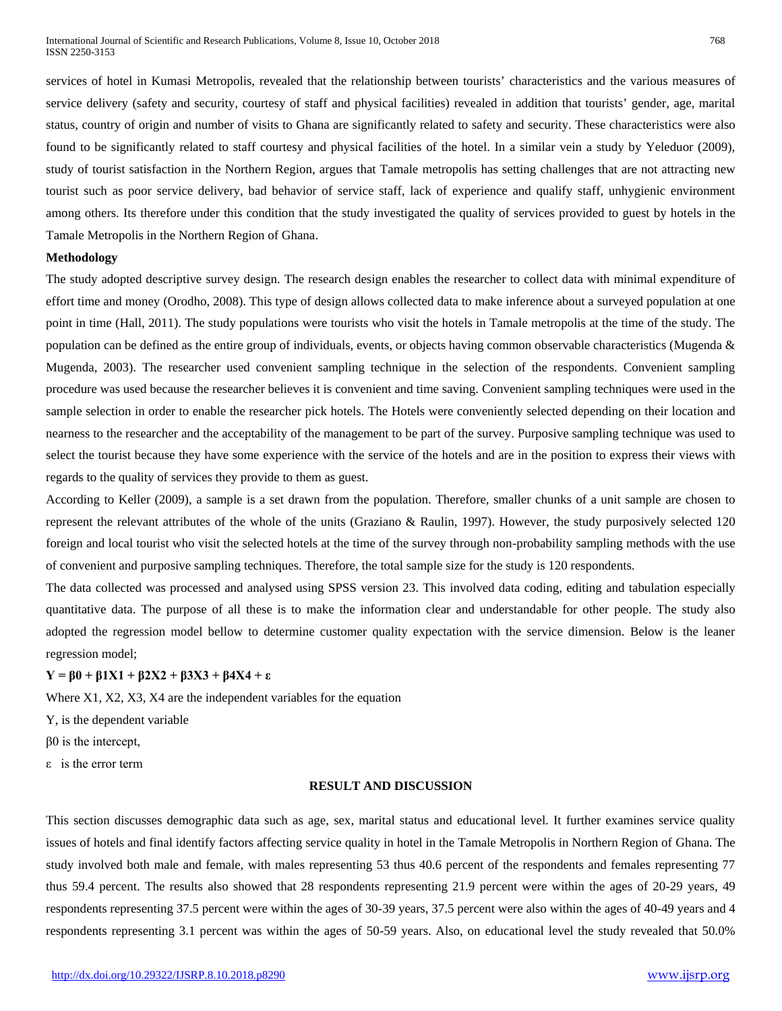services of hotel in Kumasi Metropolis, revealed that the relationship between tourists' characteristics and the various measures of service delivery (safety and security, courtesy of staff and physical facilities) revealed in addition that tourists' gender, age, marital status, country of origin and number of visits to Ghana are significantly related to safety and security. These characteristics were also found to be significantly related to staff courtesy and physical facilities of the hotel. In a similar vein a study by Yeleduor (2009), study of tourist satisfaction in the Northern Region, argues that Tamale metropolis has setting challenges that are not attracting new tourist such as poor service delivery, bad behavior of service staff, lack of experience and qualify staff, unhygienic environment among others. Its therefore under this condition that the study investigated the quality of services provided to guest by hotels in the Tamale Metropolis in the Northern Region of Ghana.

#### **Methodology**

The study adopted descriptive survey design. The research design enables the researcher to collect data with minimal expenditure of effort time and money (Orodho, 2008). This type of design allows collected data to make inference about a surveyed population at one point in time (Hall, 2011). The study populations were tourists who visit the hotels in Tamale metropolis at the time of the study. The population can be defined as the entire group of individuals, events, or objects having common observable characteristics (Mugenda  $\&$ Mugenda, 2003). The researcher used convenient sampling technique in the selection of the respondents. Convenient sampling procedure was used because the researcher believes it is convenient and time saving. Convenient sampling techniques were used in the sample selection in order to enable the researcher pick hotels. The Hotels were conveniently selected depending on their location and nearness to the researcher and the acceptability of the management to be part of the survey. Purposive sampling technique was used to select the tourist because they have some experience with the service of the hotels and are in the position to express their views with regards to the quality of services they provide to them as guest.

According to Keller (2009), a sample is a set drawn from the population. Therefore, smaller chunks of a unit sample are chosen to represent the relevant attributes of the whole of the units (Graziano & Raulin, 1997). However, the study purposively selected 120 foreign and local tourist who visit the selected hotels at the time of the survey through non-probability sampling methods with the use of convenient and purposive sampling techniques. Therefore, the total sample size for the study is 120 respondents.

The data collected was processed and analysed using SPSS version 23. This involved data coding, editing and tabulation especially quantitative data. The purpose of all these is to make the information clear and understandable for other people. The study also adopted the regression model bellow to determine customer quality expectation with the service dimension. Below is the leaner regression model;

## **Y = β0 + β1X1 + β2X2 + β3X3 + β4X4 + ε**

Where X1, X2, X3, X4 are the independent variables for the equation

Y, is the dependent variable

β0 is the intercept,

ε is the error term

## **RESULT AND DISCUSSION**

This section discusses demographic data such as age, sex, marital status and educational level. It further examines service quality issues of hotels and final identify factors affecting service quality in hotel in the Tamale Metropolis in Northern Region of Ghana. The study involved both male and female, with males representing 53 thus 40.6 percent of the respondents and females representing 77 thus 59.4 percent. The results also showed that 28 respondents representing 21.9 percent were within the ages of 20-29 years, 49 respondents representing 37.5 percent were within the ages of 30-39 years, 37.5 percent were also within the ages of 40-49 years and 4 respondents representing 3.1 percent was within the ages of 50-59 years. Also, on educational level the study revealed that 50.0%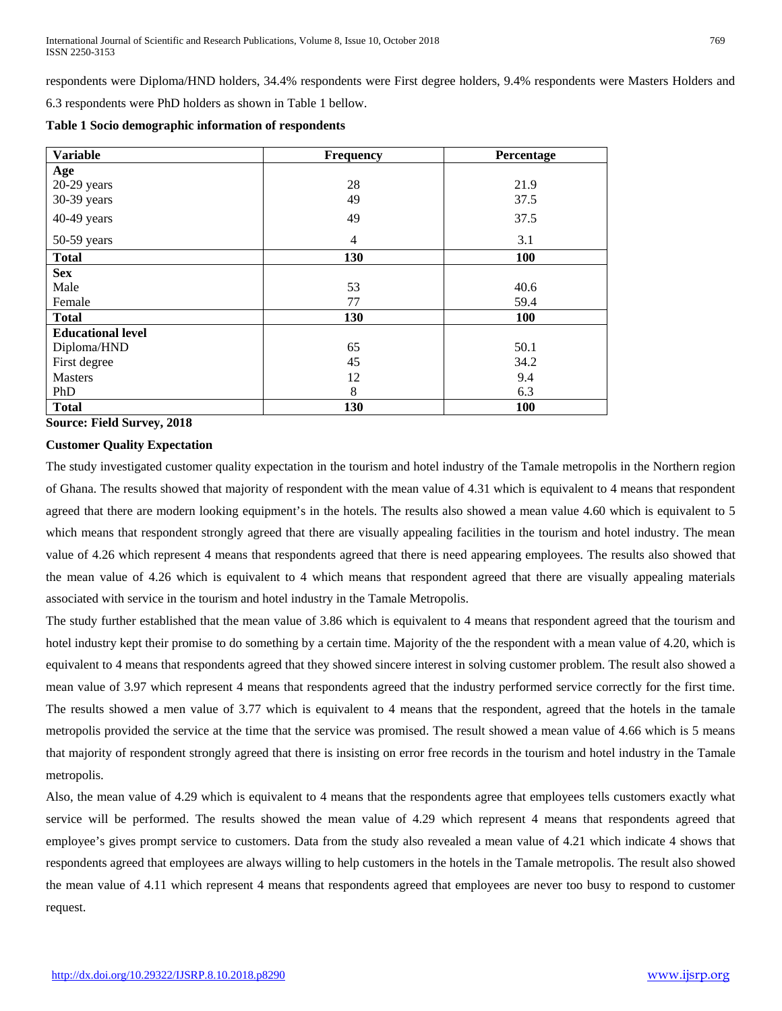respondents were Diploma/HND holders, 34.4% respondents were First degree holders, 9.4% respondents were Masters Holders and

6.3 respondents were PhD holders as shown in Table 1 bellow.

**Table 1 Socio demographic information of respondents** 

| <b>Variable</b>          | <b>Frequency</b> | Percentage |  |  |
|--------------------------|------------------|------------|--|--|
| Age                      |                  |            |  |  |
| $20-29$ years            | 28               | 21.9       |  |  |
| 30-39 years              | 49               | 37.5       |  |  |
| 40-49 years              | 49               | 37.5       |  |  |
| 50-59 years              | $\overline{4}$   | 3.1        |  |  |
| <b>Total</b>             | 130              | 100        |  |  |
| <b>Sex</b>               |                  |            |  |  |
| Male                     | 53               | 40.6       |  |  |
| Female                   | 77               | 59.4       |  |  |
| <b>Total</b>             | 130              | 100        |  |  |
| <b>Educational level</b> |                  |            |  |  |
| Diploma/HND              | 65               | 50.1       |  |  |
| First degree             | 45               | 34.2       |  |  |
| <b>Masters</b>           | 12               | 9.4        |  |  |
| PhD                      | 8                | 6.3        |  |  |
| <b>Total</b>             | 130              | 100        |  |  |

**Source: Field Survey, 2018**

## **Customer Quality Expectation**

The study investigated customer quality expectation in the tourism and hotel industry of the Tamale metropolis in the Northern region of Ghana. The results showed that majority of respondent with the mean value of 4.31 which is equivalent to 4 means that respondent agreed that there are modern looking equipment's in the hotels. The results also showed a mean value 4.60 which is equivalent to 5 which means that respondent strongly agreed that there are visually appealing facilities in the tourism and hotel industry. The mean value of 4.26 which represent 4 means that respondents agreed that there is need appearing employees. The results also showed that the mean value of 4.26 which is equivalent to 4 which means that respondent agreed that there are visually appealing materials associated with service in the tourism and hotel industry in the Tamale Metropolis.

The study further established that the mean value of 3.86 which is equivalent to 4 means that respondent agreed that the tourism and hotel industry kept their promise to do something by a certain time. Majority of the the respondent with a mean value of 4.20, which is equivalent to 4 means that respondents agreed that they showed sincere interest in solving customer problem. The result also showed a mean value of 3.97 which represent 4 means that respondents agreed that the industry performed service correctly for the first time. The results showed a men value of 3.77 which is equivalent to 4 means that the respondent, agreed that the hotels in the tamale metropolis provided the service at the time that the service was promised. The result showed a mean value of 4.66 which is 5 means that majority of respondent strongly agreed that there is insisting on error free records in the tourism and hotel industry in the Tamale metropolis.

Also, the mean value of 4.29 which is equivalent to 4 means that the respondents agree that employees tells customers exactly what service will be performed. The results showed the mean value of 4.29 which represent 4 means that respondents agreed that employee's gives prompt service to customers. Data from the study also revealed a mean value of 4.21 which indicate 4 shows that respondents agreed that employees are always willing to help customers in the hotels in the Tamale metropolis. The result also showed the mean value of 4.11 which represent 4 means that respondents agreed that employees are never too busy to respond to customer request.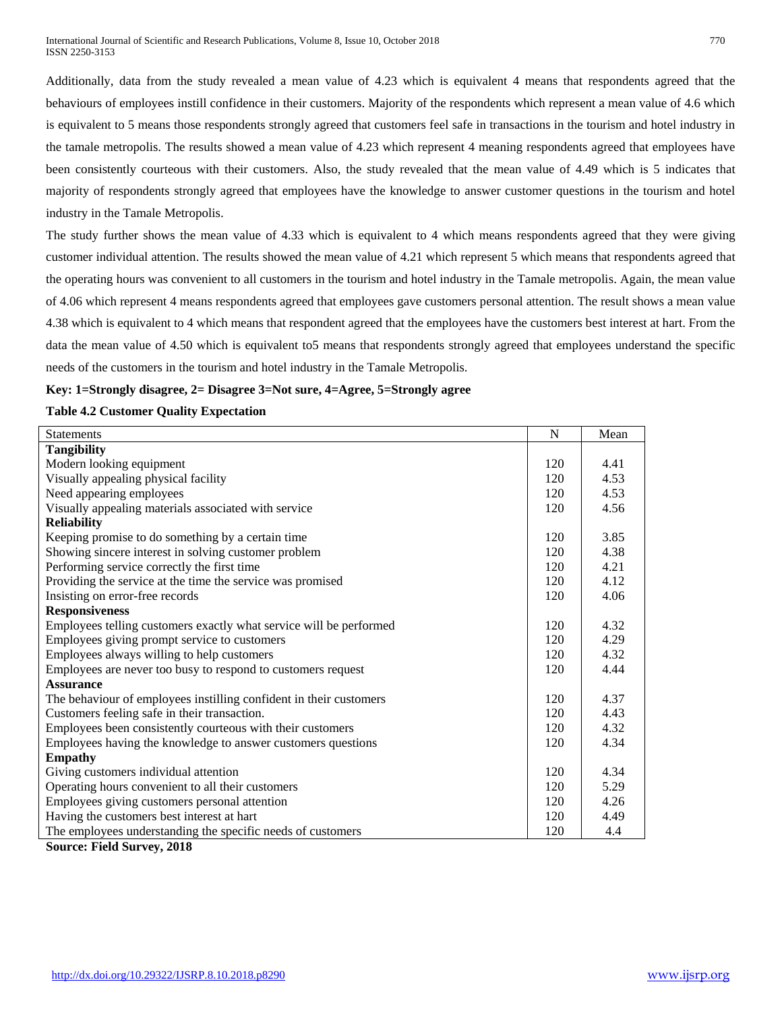Additionally, data from the study revealed a mean value of 4.23 which is equivalent 4 means that respondents agreed that the behaviours of employees instill confidence in their customers. Majority of the respondents which represent a mean value of 4.6 which is equivalent to 5 means those respondents strongly agreed that customers feel safe in transactions in the tourism and hotel industry in the tamale metropolis. The results showed a mean value of 4.23 which represent 4 meaning respondents agreed that employees have been consistently courteous with their customers. Also, the study revealed that the mean value of 4.49 which is 5 indicates that majority of respondents strongly agreed that employees have the knowledge to answer customer questions in the tourism and hotel industry in the Tamale Metropolis.

The study further shows the mean value of 4.33 which is equivalent to 4 which means respondents agreed that they were giving customer individual attention. The results showed the mean value of 4.21 which represent 5 which means that respondents agreed that the operating hours was convenient to all customers in the tourism and hotel industry in the Tamale metropolis. Again, the mean value of 4.06 which represent 4 means respondents agreed that employees gave customers personal attention. The result shows a mean value 4.38 which is equivalent to 4 which means that respondent agreed that the employees have the customers best interest at hart. From the data the mean value of 4.50 which is equivalent to5 means that respondents strongly agreed that employees understand the specific needs of the customers in the tourism and hotel industry in the Tamale Metropolis.

## **Key: 1=Strongly disagree, 2= Disagree 3=Not sure, 4=Agree, 5=Strongly agree**

## **Table 4.2 Customer Quality Expectation**

| Statements                                                         | $\mathbf N$ | Mean |
|--------------------------------------------------------------------|-------------|------|
| <b>Tangibility</b>                                                 |             |      |
| Modern looking equipment                                           | 120         | 4.41 |
| Visually appealing physical facility                               | 120         | 4.53 |
| Need appearing employees                                           | 120         | 4.53 |
| Visually appealing materials associated with service               | 120         | 4.56 |
| <b>Reliability</b>                                                 |             |      |
| Keeping promise to do something by a certain time                  | 120         | 3.85 |
| Showing sincere interest in solving customer problem               | 120         | 4.38 |
| Performing service correctly the first time                        | 120         | 4.21 |
| Providing the service at the time the service was promised         | 120         | 4.12 |
| Insisting on error-free records                                    | 120         | 4.06 |
| <b>Responsiveness</b>                                              |             |      |
| Employees telling customers exactly what service will be performed | 120         | 4.32 |
| Employees giving prompt service to customers                       | 120         | 4.29 |
| Employees always willing to help customers                         | 120         | 4.32 |
| Employees are never too busy to respond to customers request       | 120         | 4.44 |
| <b>Assurance</b>                                                   |             |      |
| The behaviour of employees instilling confident in their customers | 120         | 4.37 |
| Customers feeling safe in their transaction.                       | 120         | 4.43 |
| Employees been consistently courteous with their customers         | 120         | 4.32 |
| Employees having the knowledge to answer customers questions       | 120         | 4.34 |
| <b>Empathy</b>                                                     |             |      |
| Giving customers individual attention                              | 120         | 4.34 |
| Operating hours convenient to all their customers                  | 120         | 5.29 |
| Employees giving customers personal attention                      | 120         | 4.26 |
| Having the customers best interest at hart                         | 120         | 4.49 |
| The employees understanding the specific needs of customers        | 120         | 4.4  |

**Source: Field Survey, 2018**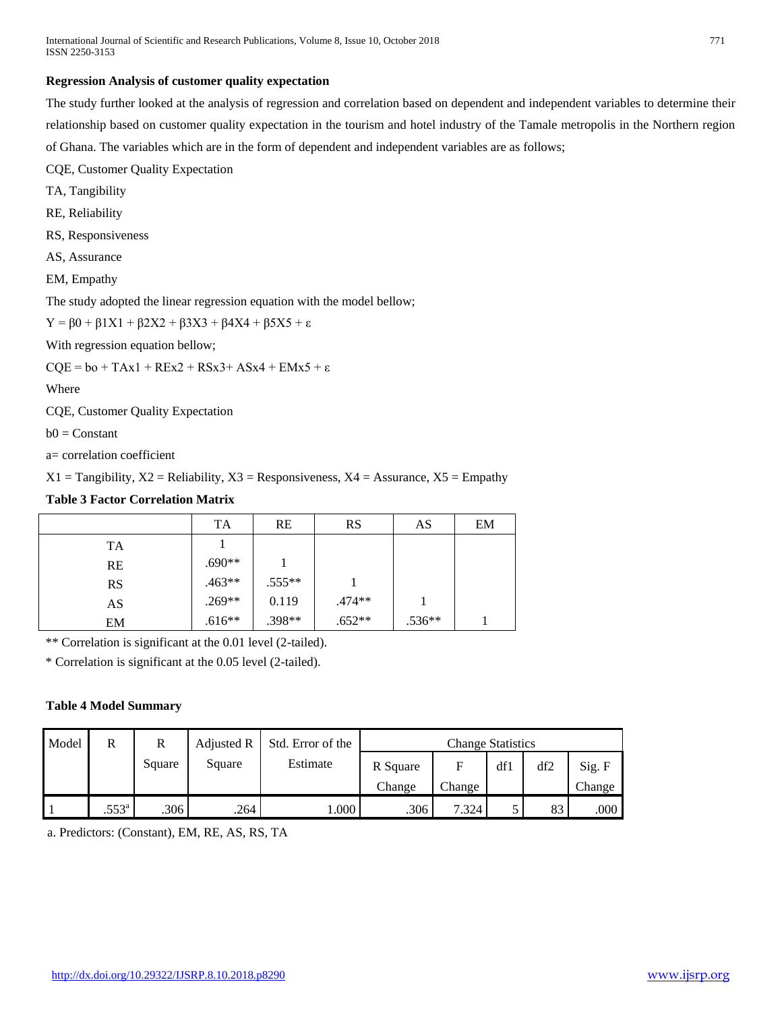## **Regression Analysis of customer quality expectation**

The study further looked at the analysis of regression and correlation based on dependent and independent variables to determine their relationship based on customer quality expectation in the tourism and hotel industry of the Tamale metropolis in the Northern region of Ghana. The variables which are in the form of dependent and independent variables are as follows;

CQE, Customer Quality Expectation

TA, Tangibility

RE, Reliability

RS, Responsiveness

AS, Assurance

EM, Empathy

The study adopted the linear regression equation with the model bellow;

 $Y = \beta 0 + \beta 1X1 + \beta 2X2 + \beta 3X3 + \beta 4X4 + \beta 5X5 + ε$ 

With regression equation bellow;

 $CQE = bo + TAx1 + REx2 + RSx3 + ASx4 + EMx5 + \epsilon$ 

Where

CQE, Customer Quality Expectation

 $b0 = Constant$ 

a= correlation coefficient

 $X1 =$  Tangibility,  $X2 =$  Reliability,  $X3 =$  Responsiveness,  $X4 =$  Assurance,  $X5 =$  Empathy

## **Table 3 Factor Correlation Matrix**

|           | <b>TA</b> | <b>RE</b> | <b>RS</b> | AS       | EM |
|-----------|-----------|-----------|-----------|----------|----|
| TA        |           |           |           |          |    |
| <b>RE</b> | $.690**$  |           |           |          |    |
| <b>RS</b> | $.463**$  | $.555**$  |           |          |    |
| AS        | $.269**$  | 0.119     | .474**    |          |    |
| EM        | $.616**$  | $.398**$  | $.652**$  | $.536**$ |    |

\*\* Correlation is significant at the 0.01 level (2-tailed).

\* Correlation is significant at the 0.05 level (2-tailed).

## **Table 4 Model Summary**

| Model | R              | R      | Adjusted R | Std. Error of the | <b>Change Statistics</b> |        |     |     |        |
|-------|----------------|--------|------------|-------------------|--------------------------|--------|-----|-----|--------|
|       |                | Square | Square     | Estimate          | R Square                 | F      | df1 | df2 | Sig. F |
|       |                |        |            |                   | Change                   | Change |     |     | Change |
|       | $.553^{\circ}$ | .306   | .264       | .000              | .306                     | 7.324  |     | 83  | .000   |

a. Predictors: (Constant), EM, RE, AS, RS, TA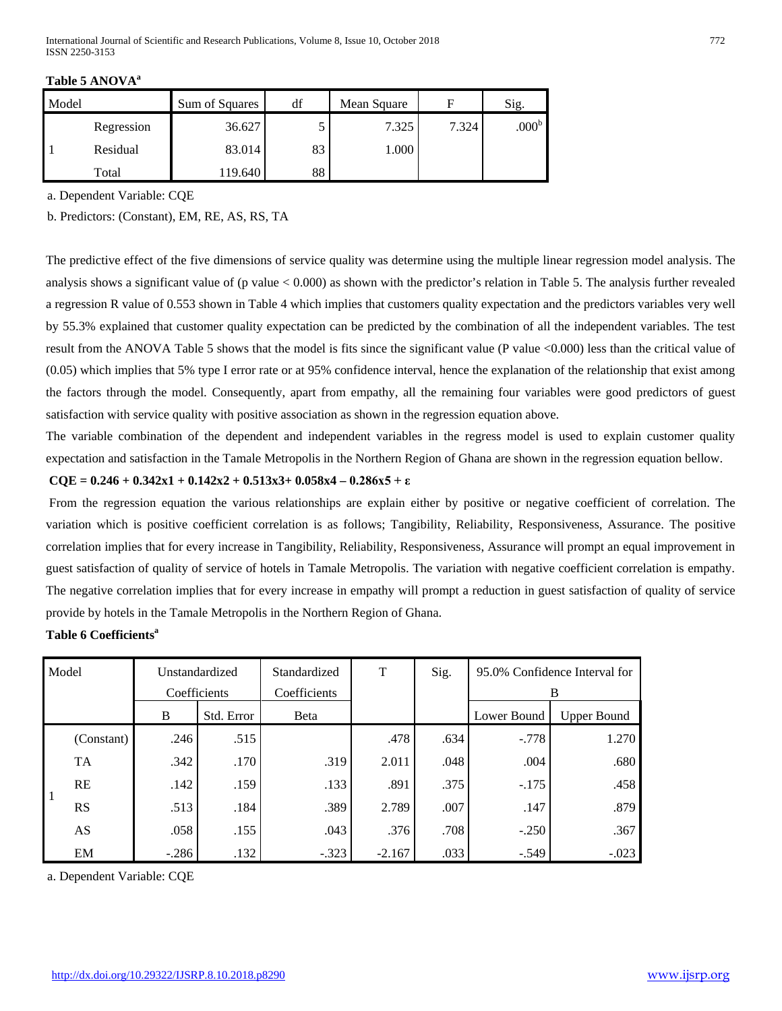| ٠<br>Ξ | 전 사<br>٠ |  |
|--------|----------|--|
|        |          |  |

| Model |            | Sum of Squares | df | Mean Square | F     | Sig.              |
|-------|------------|----------------|----|-------------|-------|-------------------|
|       | Regression | 36.627         |    | 7.325       | 7.324 | .000 <sup>b</sup> |
|       | Residual   | 83.014         | 83 | 1.000       |       |                   |
|       | Total      | 119.640        | 88 |             |       |                   |

**Table 5 ANOVA<sup>a</sup>**

a. Dependent Variable: CQE

b. Predictors: (Constant), EM, RE, AS, RS, TA

The predictive effect of the five dimensions of service quality was determine using the multiple linear regression model analysis. The analysis shows a significant value of (p value  $< 0.000$ ) as shown with the predictor's relation in Table 5. The analysis further revealed a regression R value of 0.553 shown in Table 4 which implies that customers quality expectation and the predictors variables very well by 55.3% explained that customer quality expectation can be predicted by the combination of all the independent variables. The test result from the ANOVA Table 5 shows that the model is fits since the significant value (P value <0.000) less than the critical value of (0.05) which implies that 5% type I error rate or at 95% confidence interval, hence the explanation of the relationship that exist among the factors through the model. Consequently, apart from empathy, all the remaining four variables were good predictors of guest satisfaction with service quality with positive association as shown in the regression equation above.

The variable combination of the dependent and independent variables in the regress model is used to explain customer quality expectation and satisfaction in the Tamale Metropolis in the Northern Region of Ghana are shown in the regression equation bellow.

## $CQE = 0.246 + 0.342x1 + 0.142x2 + 0.513x3 + 0.058x4 - 0.286x5 + \epsilon$

From the regression equation the various relationships are explain either by positive or negative coefficient of correlation. The variation which is positive coefficient correlation is as follows; Tangibility, Reliability, Responsiveness, Assurance. The positive correlation implies that for every increase in Tangibility, Reliability, Responsiveness, Assurance will prompt an equal improvement in guest satisfaction of quality of service of hotels in Tamale Metropolis. The variation with negative coefficient correlation is empathy. The negative correlation implies that for every increase in empathy will prompt a reduction in guest satisfaction of quality of service provide by hotels in the Tamale Metropolis in the Northern Region of Ghana.

## **Table 6 Coefficients<sup>a</sup>**

| Model |            |         | Unstandardized | Standardized | T        | Sig. | 95.0% Confidence Interval for |                    |
|-------|------------|---------|----------------|--------------|----------|------|-------------------------------|--------------------|
|       |            |         | Coefficients   | Coefficients |          |      | В                             |                    |
|       |            | B       | Std. Error     | <b>B</b> eta |          |      | Lower Bound                   | <b>Upper Bound</b> |
|       | (Constant) | .246    | .515           |              | .478     | .634 | $-.778$                       | 1.270              |
|       | <b>TA</b>  | .342    | .170           | .319         | 2.011    | .048 | .004                          | .680               |
|       | <b>RE</b>  | .142    | .159           | .133         | .891     | .375 | $-.175$                       | .458               |
|       | <b>RS</b>  | .513    | .184           | .389         | 2.789    | .007 | .147                          | .879               |
|       | AS         | .058    | .155           | .043         | .376     | .708 | $-.250$                       | .367               |
|       | EM         | $-.286$ | .132           | $-.323$      | $-2.167$ | .033 | $-.549$                       | $-.023$            |

a. Dependent Variable: CQE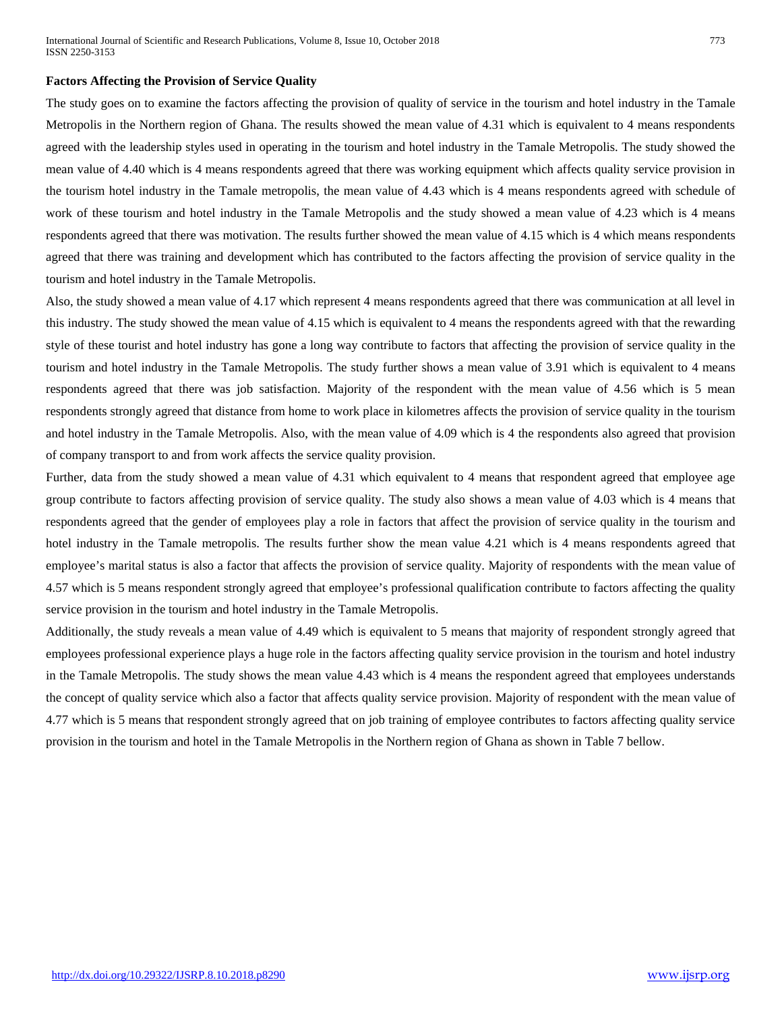#### **Factors Affecting the Provision of Service Quality**

The study goes on to examine the factors affecting the provision of quality of service in the tourism and hotel industry in the Tamale Metropolis in the Northern region of Ghana. The results showed the mean value of 4.31 which is equivalent to 4 means respondents agreed with the leadership styles used in operating in the tourism and hotel industry in the Tamale Metropolis. The study showed the mean value of 4.40 which is 4 means respondents agreed that there was working equipment which affects quality service provision in the tourism hotel industry in the Tamale metropolis, the mean value of 4.43 which is 4 means respondents agreed with schedule of work of these tourism and hotel industry in the Tamale Metropolis and the study showed a mean value of 4.23 which is 4 means respondents agreed that there was motivation. The results further showed the mean value of 4.15 which is 4 which means respondents agreed that there was training and development which has contributed to the factors affecting the provision of service quality in the tourism and hotel industry in the Tamale Metropolis.

Also, the study showed a mean value of 4.17 which represent 4 means respondents agreed that there was communication at all level in this industry. The study showed the mean value of 4.15 which is equivalent to 4 means the respondents agreed with that the rewarding style of these tourist and hotel industry has gone a long way contribute to factors that affecting the provision of service quality in the tourism and hotel industry in the Tamale Metropolis. The study further shows a mean value of 3.91 which is equivalent to 4 means respondents agreed that there was job satisfaction. Majority of the respondent with the mean value of 4.56 which is 5 mean respondents strongly agreed that distance from home to work place in kilometres affects the provision of service quality in the tourism and hotel industry in the Tamale Metropolis. Also, with the mean value of 4.09 which is 4 the respondents also agreed that provision of company transport to and from work affects the service quality provision.

Further, data from the study showed a mean value of 4.31 which equivalent to 4 means that respondent agreed that employee age group contribute to factors affecting provision of service quality. The study also shows a mean value of 4.03 which is 4 means that respondents agreed that the gender of employees play a role in factors that affect the provision of service quality in the tourism and hotel industry in the Tamale metropolis. The results further show the mean value 4.21 which is 4 means respondents agreed that employee's marital status is also a factor that affects the provision of service quality. Majority of respondents with the mean value of 4.57 which is 5 means respondent strongly agreed that employee's professional qualification contribute to factors affecting the quality service provision in the tourism and hotel industry in the Tamale Metropolis.

Additionally, the study reveals a mean value of 4.49 which is equivalent to 5 means that majority of respondent strongly agreed that employees professional experience plays a huge role in the factors affecting quality service provision in the tourism and hotel industry in the Tamale Metropolis. The study shows the mean value 4.43 which is 4 means the respondent agreed that employees understands the concept of quality service which also a factor that affects quality service provision. Majority of respondent with the mean value of 4.77 which is 5 means that respondent strongly agreed that on job training of employee contributes to factors affecting quality service provision in the tourism and hotel in the Tamale Metropolis in the Northern region of Ghana as shown in Table 7 bellow.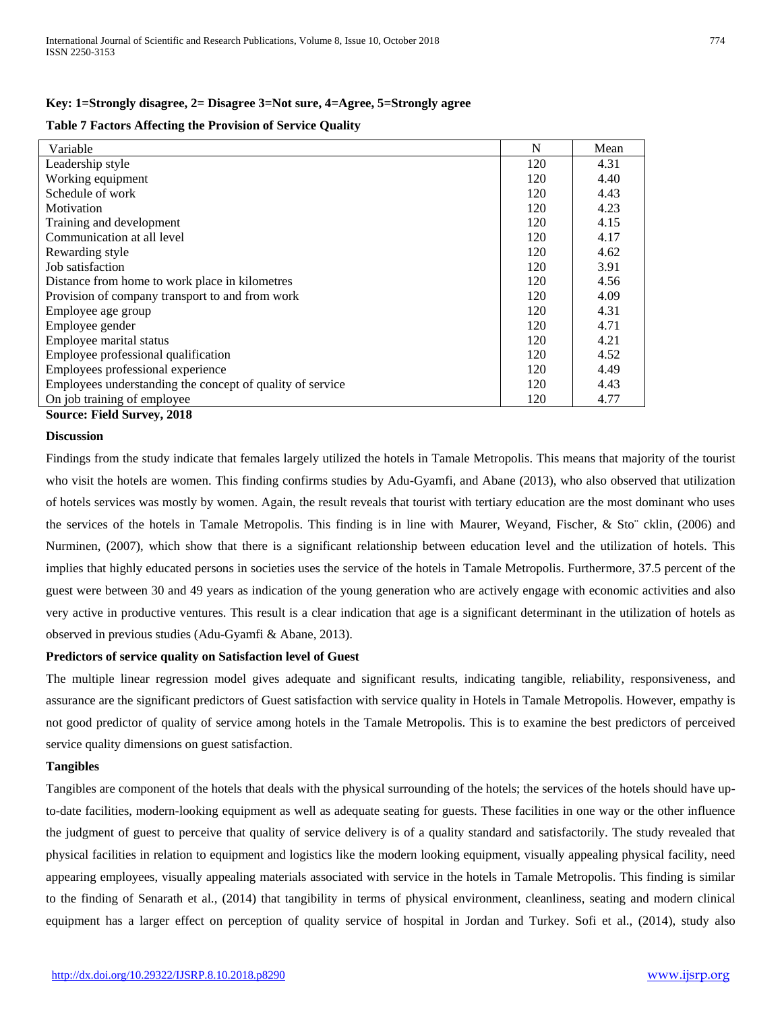#### **Key: 1=Strongly disagree, 2= Disagree 3=Not sure, 4=Agree, 5=Strongly agree**

#### **Table 7 Factors Affecting the Provision of Service Quality**

| Variable                                                  | N   | Mean |
|-----------------------------------------------------------|-----|------|
| Leadership style                                          | 120 | 4.31 |
| Working equipment                                         | 120 | 4.40 |
| Schedule of work                                          | 120 | 4.43 |
| Motivation                                                | 120 | 4.23 |
| Training and development                                  | 120 | 4.15 |
| Communication at all level                                | 120 | 4.17 |
| Rewarding style                                           | 120 | 4.62 |
| Job satisfaction                                          | 120 | 3.91 |
| Distance from home to work place in kilometres            | 120 | 4.56 |
| Provision of company transport to and from work           | 120 | 4.09 |
| Employee age group                                        | 120 | 4.31 |
| Employee gender                                           | 120 | 4.71 |
| Employee marital status                                   | 120 | 4.21 |
| Employee professional qualification                       | 120 | 4.52 |
| Employees professional experience                         | 120 | 4.49 |
| Employees understanding the concept of quality of service | 120 | 4.43 |
| On job training of employee                               | 120 | 4.77 |

**Source: Field Survey, 2018**

#### **Discussion**

Findings from the study indicate that females largely utilized the hotels in Tamale Metropolis. This means that majority of the tourist who visit the hotels are women. This finding confirms studies by Adu-Gyamfi, and Abane (2013), who also observed that utilization of hotels services was mostly by women. Again, the result reveals that tourist with tertiary education are the most dominant who uses the services of the hotels in Tamale Metropolis. This finding is in line with Maurer, Weyand, Fischer, & Sto¨ cklin, (2006) and Nurminen, (2007), which show that there is a significant relationship between education level and the utilization of hotels. This implies that highly educated persons in societies uses the service of the hotels in Tamale Metropolis. Furthermore, 37.5 percent of the guest were between 30 and 49 years as indication of the young generation who are actively engage with economic activities and also very active in productive ventures. This result is a clear indication that age is a significant determinant in the utilization of hotels as observed in previous studies (Adu-Gyamfi & Abane, 2013).

#### **Predictors of service quality on Satisfaction level of Guest**

The multiple linear regression model gives adequate and significant results, indicating tangible, reliability, responsiveness, and assurance are the significant predictors of Guest satisfaction with service quality in Hotels in Tamale Metropolis. However, empathy is not good predictor of quality of service among hotels in the Tamale Metropolis. This is to examine the best predictors of perceived service quality dimensions on guest satisfaction.

## **Tangibles**

Tangibles are component of the hotels that deals with the physical surrounding of the hotels; the services of the hotels should have upto-date facilities, modern-looking equipment as well as adequate seating for guests. These facilities in one way or the other influence the judgment of guest to perceive that quality of service delivery is of a quality standard and satisfactorily. The study revealed that physical facilities in relation to equipment and logistics like the modern looking equipment, visually appealing physical facility, need appearing employees, visually appealing materials associated with service in the hotels in Tamale Metropolis. This finding is similar to the finding of Senarath et al., (2014) that tangibility in terms of physical environment, cleanliness, seating and modern clinical equipment has a larger effect on perception of quality service of hospital in Jordan and Turkey. Sofi et al., (2014), study also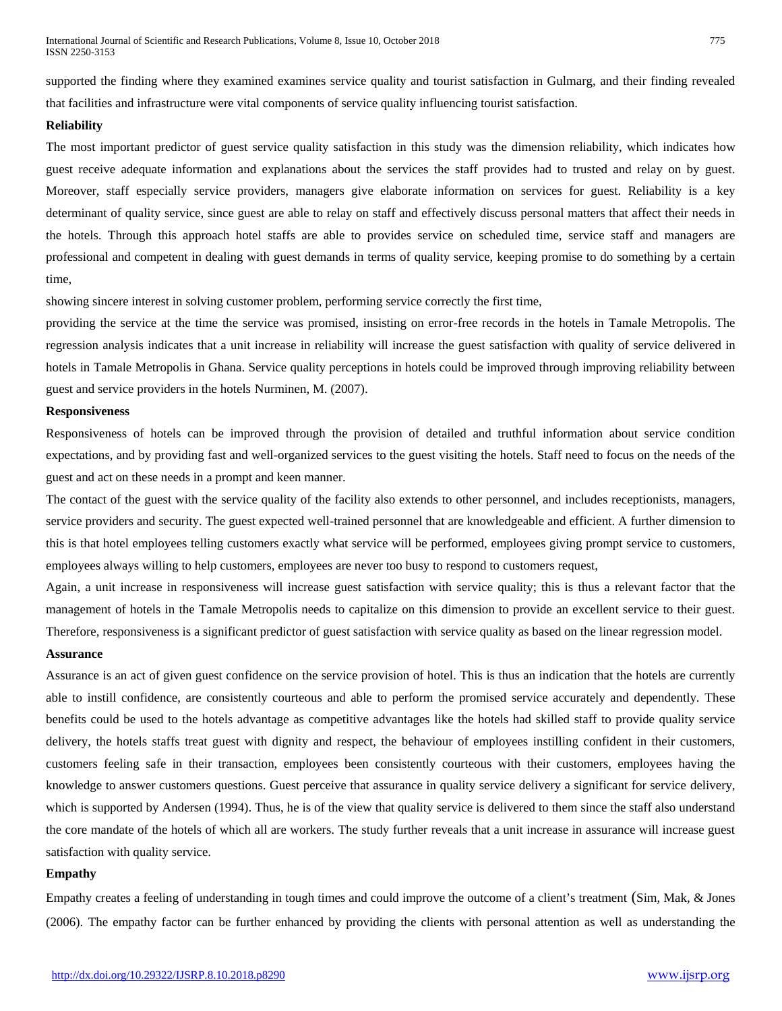supported the finding where they examined examines service quality and tourist satisfaction in Gulmarg, and their finding revealed that facilities and infrastructure were vital components of service quality influencing tourist satisfaction.

## **Reliability**

The most important predictor of guest service quality satisfaction in this study was the dimension reliability, which indicates how guest receive adequate information and explanations about the services the staff provides had to trusted and relay on by guest. Moreover, staff especially service providers, managers give elaborate information on services for guest. Reliability is a key determinant of quality service, since guest are able to relay on staff and effectively discuss personal matters that affect their needs in the hotels. Through this approach hotel staffs are able to provides service on scheduled time, service staff and managers are professional and competent in dealing with guest demands in terms of quality service, keeping promise to do something by a certain time,

showing sincere interest in solving customer problem, performing service correctly the first time,

providing the service at the time the service was promised, insisting on error-free records in the hotels in Tamale Metropolis. The regression analysis indicates that a unit increase in reliability will increase the guest satisfaction with quality of service delivered in hotels in Tamale Metropolis in Ghana. Service quality perceptions in hotels could be improved through improving reliability between guest and service providers in the hotels Nurminen, M. (2007).

## **Responsiveness**

Responsiveness of hotels can be improved through the provision of detailed and truthful information about service condition expectations, and by providing fast and well-organized services to the guest visiting the hotels. Staff need to focus on the needs of the guest and act on these needs in a prompt and keen manner.

The contact of the guest with the service quality of the facility also extends to other personnel, and includes receptionists, managers, service providers and security. The guest expected well-trained personnel that are knowledgeable and efficient. A further dimension to this is that hotel employees telling customers exactly what service will be performed, employees giving prompt service to customers, employees always willing to help customers, employees are never too busy to respond to customers request,

Again, a unit increase in responsiveness will increase guest satisfaction with service quality; this is thus a relevant factor that the management of hotels in the Tamale Metropolis needs to capitalize on this dimension to provide an excellent service to their guest. Therefore, responsiveness is a significant predictor of guest satisfaction with service quality as based on the linear regression model.

## **Assurance**

Assurance is an act of given guest confidence on the service provision of hotel. This is thus an indication that the hotels are currently able to instill confidence, are consistently courteous and able to perform the promised service accurately and dependently. These benefits could be used to the hotels advantage as competitive advantages like the hotels had skilled staff to provide quality service delivery, the hotels staffs treat guest with dignity and respect, the behaviour of employees instilling confident in their customers, customers feeling safe in their transaction, employees been consistently courteous with their customers, employees having the knowledge to answer customers questions. Guest perceive that assurance in quality service delivery a significant for service delivery, which is supported by Andersen (1994). Thus, he is of the view that quality service is delivered to them since the staff also understand the core mandate of the hotels of which all are workers. The study further reveals that a unit increase in assurance will increase guest satisfaction with quality service.

## **Empathy**

Empathy creates a feeling of understanding in tough times and could improve the outcome of a client's treatment (Sim, Mak, & Jones (2006). The empathy factor can be further enhanced by providing the clients with personal attention as well as understanding the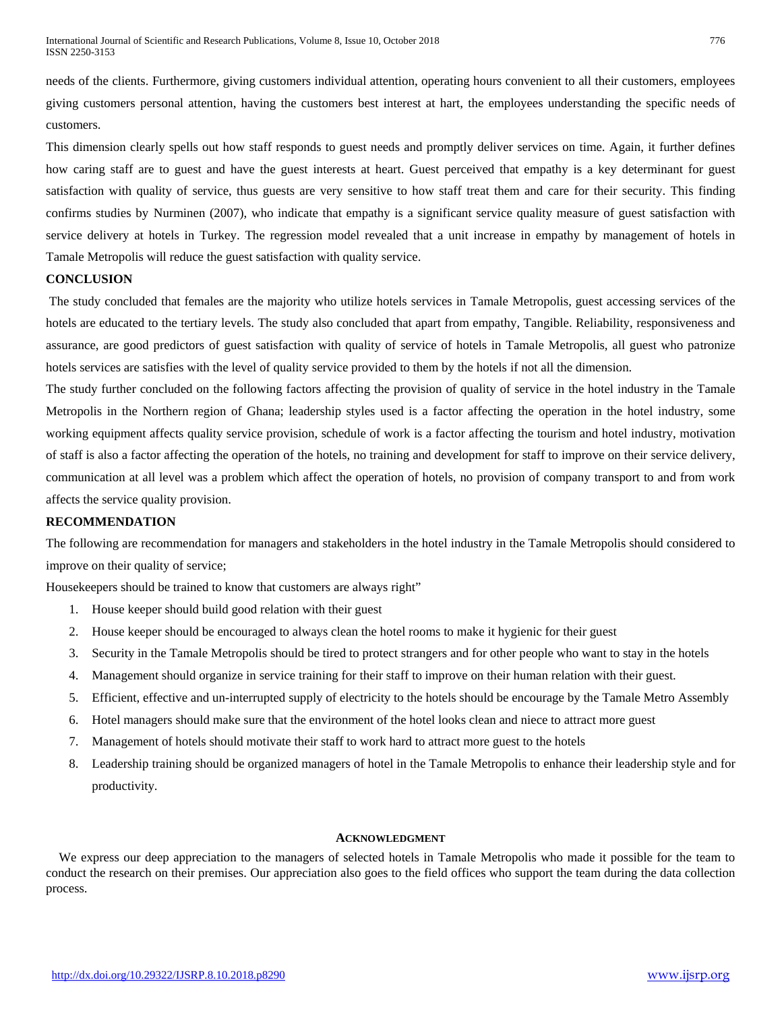needs of the clients. Furthermore, giving customers individual attention, operating hours convenient to all their customers, employees giving customers personal attention, having the customers best interest at hart, the employees understanding the specific needs of customers.

This dimension clearly spells out how staff responds to guest needs and promptly deliver services on time. Again, it further defines how caring staff are to guest and have the guest interests at heart. Guest perceived that empathy is a key determinant for guest satisfaction with quality of service, thus guests are very sensitive to how staff treat them and care for their security. This finding confirms studies by Nurminen (2007), who indicate that empathy is a significant service quality measure of guest satisfaction with service delivery at hotels in Turkey. The regression model revealed that a unit increase in empathy by management of hotels in Tamale Metropolis will reduce the guest satisfaction with quality service.

## **CONCLUSION**

The study concluded that females are the majority who utilize hotels services in Tamale Metropolis, guest accessing services of the hotels are educated to the tertiary levels. The study also concluded that apart from empathy, Tangible. Reliability, responsiveness and assurance, are good predictors of guest satisfaction with quality of service of hotels in Tamale Metropolis, all guest who patronize hotels services are satisfies with the level of quality service provided to them by the hotels if not all the dimension.

The study further concluded on the following factors affecting the provision of quality of service in the hotel industry in the Tamale Metropolis in the Northern region of Ghana; leadership styles used is a factor affecting the operation in the hotel industry, some working equipment affects quality service provision, schedule of work is a factor affecting the tourism and hotel industry, motivation of staff is also a factor affecting the operation of the hotels, no training and development for staff to improve on their service delivery, communication at all level was a problem which affect the operation of hotels, no provision of company transport to and from work affects the service quality provision.

## **RECOMMENDATION**

The following are recommendation for managers and stakeholders in the hotel industry in the Tamale Metropolis should considered to improve on their quality of service;

Housekeepers should be trained to know that customers are always right"

- 1. House keeper should build good relation with their guest
- 2. House keeper should be encouraged to always clean the hotel rooms to make it hygienic for their guest
- 3. Security in the Tamale Metropolis should be tired to protect strangers and for other people who want to stay in the hotels
- 4. Management should organize in service training for their staff to improve on their human relation with their guest.
- 5. Efficient, effective and un-interrupted supply of electricity to the hotels should be encourage by the Tamale Metro Assembly
- 6. Hotel managers should make sure that the environment of the hotel looks clean and niece to attract more guest
- 7. Management of hotels should motivate their staff to work hard to attract more guest to the hotels
- 8. Leadership training should be organized managers of hotel in the Tamale Metropolis to enhance their leadership style and for productivity.

## **ACKNOWLEDGMENT**

We express our deep appreciation to the managers of selected hotels in Tamale Metropolis who made it possible for the team to conduct the research on their premises. Our appreciation also goes to the field offices who support the team during the data collection process.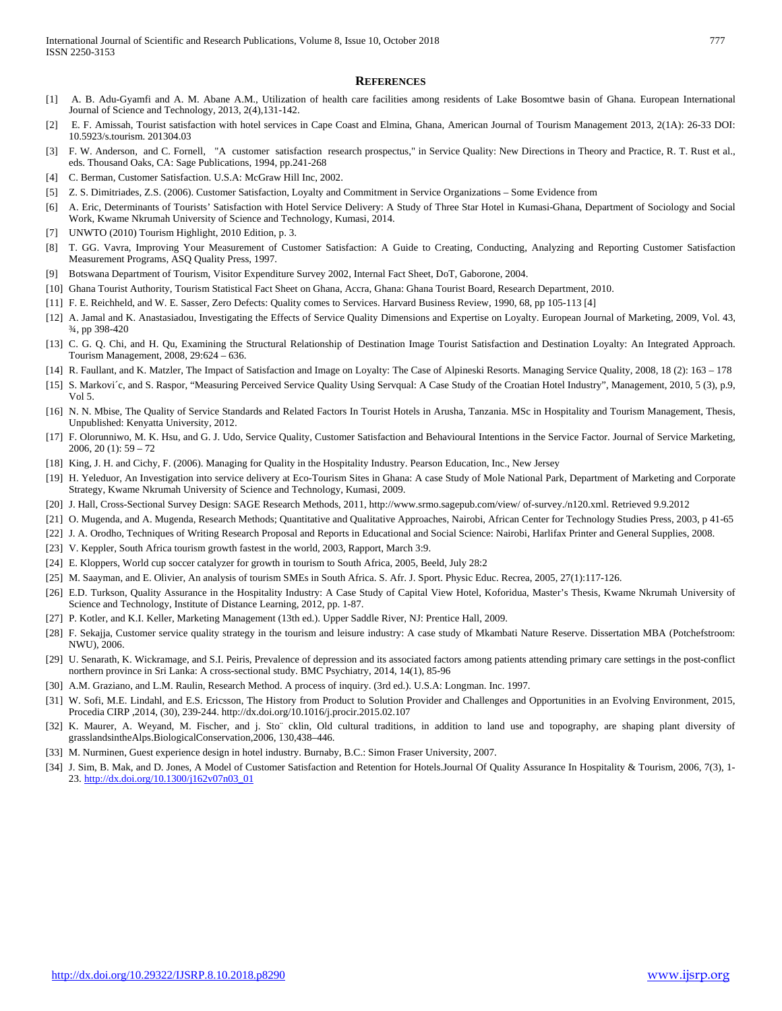#### **REFERENCES**

- [1] A. B. Adu-Gyamfi and A. M. Abane A.M., Utilization of health care facilities among residents of Lake Bosomtwe basin of Ghana. European International Journal of Science and Technology, 2013, 2(4),131-142.
- [2] E. F. Amissah, Tourist satisfaction with hotel services in Cape Coast and Elmina, Ghana, American Journal of Tourism Management 2013, 2(1A): 26-33 DOI: 10.5923/s.tourism. 201304.03
- [3] F. W. Anderson, and C. Fornell, "A customer satisfaction research prospectus," in Service Quality: New Directions in Theory and Practice, R. T. Rust et al., eds. Thousand Oaks, CA: Sage Publications, 1994, pp.241-268
- [4] C. Berman, Customer Satisfaction. U.S.A: McGraw Hill Inc, 2002.
- [5] Z. S. Dimitriades, Z.S. (2006). Customer Satisfaction, Loyalty and Commitment in Service Organizations Some Evidence from
- [6] A. Eric, Determinants of Tourists' Satisfaction with Hotel Service Delivery: A Study of Three Star Hotel in Kumasi-Ghana, Department of Sociology and Social Work, Kwame Nkrumah University of Science and Technology, Kumasi, 2014.
- [7] UNWTO (2010) Tourism Highlight, 2010 Edition, p. 3.
- [8] T. GG. Vavra, Improving Your Measurement of Customer Satisfaction: A Guide to Creating, Conducting, Analyzing and Reporting Customer Satisfaction Measurement Programs, ASQ Quality Press, 1997.
- [9] Botswana Department of Tourism, Visitor Expenditure Survey 2002, Internal Fact Sheet, DoT, Gaborone, 2004.
- [10] Ghana Tourist Authority, Tourism Statistical Fact Sheet on Ghana, Accra, Ghana: Ghana Tourist Board, Research Department, 2010.
- [11] F. E. Reichheld, and W. E. Sasser, Zero Defects: Quality comes to Services. Harvard Business Review, 1990, 68, pp 105-113 [4]
- [12] A. Jamal and K. Anastasiadou, Investigating the Effects of Service Quality Dimensions and Expertise on Loyalty. European Journal of Marketing, 2009, Vol. 43, ¾, pp 398-420
- [13] C. G. Q. Chi, and H. Qu, Examining the Structural Relationship of Destination Image Tourist Satisfaction and Destination Loyalty: An Integrated Approach. Tourism Management, 2008, 29:624 – 636.
- [14] R. Faullant, and K. Matzler, The Impact of Satisfaction and Image on Loyalty: The Case of Alpineski Resorts. Managing Service Quality, 2008, 18 (2): 163 178
- [15] S. Markovi´c, and S. Raspor, "Measuring Perceived Service Quality Using Servqual: A Case Study of the Croatian Hotel Industry", Management, 2010, 5 (3), p.9, Vol 5.
- [16] N. N. Mbise, The Quality of Service Standards and Related Factors In Tourist Hotels in Arusha, Tanzania. MSc in Hospitality and Tourism Management, Thesis, Unpublished: Kenyatta University, 2012.
- [17] F. Olorunniwo, M. K. Hsu, and G. J. Udo, Service Quality, Customer Satisfaction and Behavioural Intentions in the Service Factor. Journal of Service Marketing, 2006, 20 (1): 59 – 72
- [18] King, J. H. and Cichy, F. (2006). Managing for Quality in the Hospitality Industry. Pearson Education, Inc., New Jersey
- [19] H. Yeleduor, An Investigation into service delivery at Eco-Tourism Sites in Ghana: A case Study of Mole National Park, Department of Marketing and Corporate Strategy, Kwame Nkrumah University of Science and Technology, Kumasi, 2009.
- [20] J. Hall, Cross-Sectional Survey Design: SAGE Research Methods, 2011, http://www.srmo.sagepub.com/view/ of-survey./n120.xml. Retrieved 9.9.2012
- [21] O. Mugenda, and A. Mugenda, Research Methods; Quantitative and Qualitative Approaches, Nairobi, African Center for Technology Studies Press, 2003, p 41-65
- [22] J. A. Orodho, Techniques of Writing Research Proposal and Reports in Educational and Social Science: Nairobi, Harlifax Printer and General Supplies, 2008.
- [23] V. Keppler, South Africa tourism growth fastest in the world, 2003, Rapport, March 3:9.
- [24] E. Kloppers, World cup soccer catalyzer for growth in tourism to South Africa, 2005, Beeld, July 28:2
- [25] M. Saayman, and E. Olivier, An analysis of tourism SMEs in South Africa. S. Afr. J. Sport. Physic Educ. Recrea, 2005, 27(1):117-126.
- [26] E.D. Turkson, Quality Assurance in the Hospitality Industry: A Case Study of Capital View Hotel, Koforidua, Master's Thesis, Kwame Nkrumah University of Science and Technology, Institute of Distance Learning, 2012, pp. 1-87.
- [27] P. Kotler, and K.I. Keller, Marketing Management (13th ed.). Upper Saddle River, NJ: Prentice Hall, 2009.
- [28] F. Sekajja, Customer service quality strategy in the tourism and leisure industry: A case study of Mkambati Nature Reserve. Dissertation MBA (Potchefstroom: NWU), 2006.
- [29] U. Senarath, K. Wickramage, and S.I. Peiris, Prevalence of depression and its associated factors among patients attending primary care settings in the post-conflict northern province in Sri Lanka: A cross-sectional study. BMC Psychiatry, 2014, 14(1), 85-96
- [30] A.M. Graziano, and L.M. Raulin, Research Method. A process of inquiry. (3rd ed.). U.S.A: Longman. Inc. 1997.
- [31] W. Sofi, M.E. Lindahl, and E.S. Ericsson, The History from Product to Solution Provider and Challenges and Opportunities in an Evolving Environment, 2015, Procedia CIRP ,2014, (30), 239-244. http://dx.doi.org/10.1016/j.procir.2015.02.107
- [32] K. Maurer, A. Weyand, M. Fischer, and j. Sto¨ cklin, Old cultural traditions, in addition to land use and topography, are shaping plant diversity of grasslandsintheAlps.BiologicalConservation,2006, 130,438–446.
- [33] M. Nurminen, Guest experience design in hotel industry. Burnaby, B.C.: Simon Fraser University, 2007.
- [34] J. Sim, B. Mak, and D. Jones, A Model of Customer Satisfaction and Retention for Hotels.Journal Of Quality Assurance In Hospitality & Tourism, 2006, 7(3), 1-23. [http://dx.doi.org/10.1300/j162v07n03\\_01](http://dx.doi.org/10.1300/j162v07n03_01)